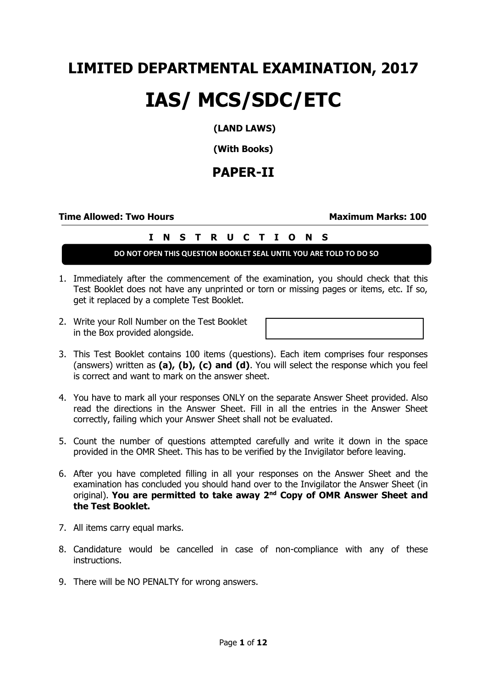# **LIMITED DEPARTMENTAL EXAMINATION, 2017**

# **IAS/ MCS/SDC/ETC**

### **(LAND LAWS)**

**(With Books)**

## **PAPER-II**

### **Time Allowed: Two Hours Maximum Marks: 100**

### **I N S T R U C T I O N S**

### **DO NOT OPEN THIS QUESTION BOOKLET SEAL UNTIL YOU ARE TOLD TO DO SO**

- 1. Immediately after the commencement of the examination, you should check that this Test Booklet does not have any unprinted or torn or missing pages or items, etc. If so, get it replaced by a complete Test Booklet.
- 2. Write your Roll Number on the Test Booklet in the Box provided alongside.

- 3. This Test Booklet contains 100 items (questions). Each item comprises four responses (answers) written as **(a), (b), (c) and (d)**. You will select the response which you feel is correct and want to mark on the answer sheet.
- 4. You have to mark all your responses ONLY on the separate Answer Sheet provided. Also read the directions in the Answer Sheet. Fill in all the entries in the Answer Sheet correctly, failing which your Answer Sheet shall not be evaluated.
- 5. Count the number of questions attempted carefully and write it down in the space provided in the OMR Sheet. This has to be verified by the Invigilator before leaving.
- 6. After you have completed filling in all your responses on the Answer Sheet and the examination has concluded you should hand over to the Invigilator the Answer Sheet (in original). **You are permitted to take away 2nd Copy of OMR Answer Sheet and the Test Booklet.**
- 7. All items carry equal marks.
- 8. Candidature would be cancelled in case of non-compliance with any of these instructions.
- 9. There will be NO PENALTY for wrong answers.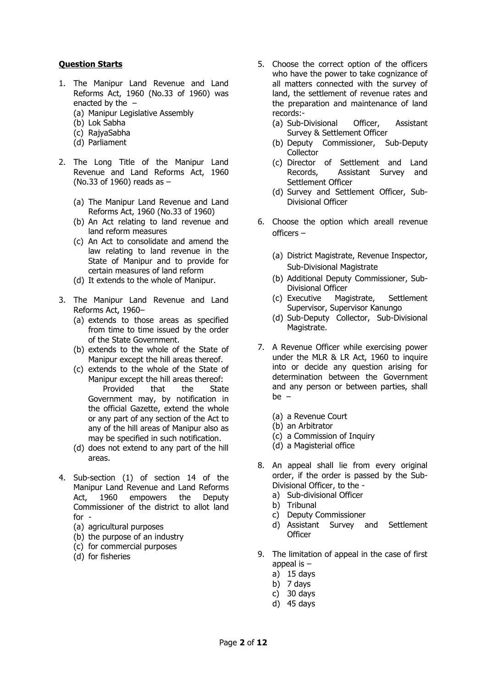### **Question Starts**

- 1. The Manipur Land Revenue and Land Reforms Act, 1960 (No.33 of 1960) was enacted by the  $-$ (a) Manipur Legislative Assembly
	- (b) Lok Sabha
	- (c) RajyaSabha
	- (d) Parliament
- 2. The Long Title of the Manipur Land Revenue and Land Reforms Act, 1960 (No.33 of 1960) reads as –
	- (a) The Manipur Land Revenue and Land Reforms Act, 1960 (No.33 of 1960)
	- (b) An Act relating to land revenue and land reform measures
	- (c) An Act to consolidate and amend the law relating to land revenue in the State of Manipur and to provide for certain measures of land reform
	- (d) It extends to the whole of Manipur.
- 3. The Manipur Land Revenue and Land Reforms Act, 1960–
	- (a) extends to those areas as specified from time to time issued by the order of the State Government.
	- (b) extends to the whole of the State of Manipur except the hill areas thereof.
	- (c) extends to the whole of the State of Manipur except the hill areas thereof: Provided that the State Government may, by notification in the official Gazette, extend the whole or any part of any section of the Act to any of the hill areas of Manipur also as may be specified in such notification.
	- (d) does not extend to any part of the hill areas.
- 4. Sub-section (1) of section 14 of the Manipur Land Revenue and Land Reforms Act, 1960 empowers the Deputy Commissioner of the district to allot land for -
	- (a) agricultural purposes
	- (b) the purpose of an industry
	- (c) for commercial purposes
	- (d) for fisheries
- 5. Choose the correct option of the officers who have the power to take cognizance of all matters connected with the survey of land, the settlement of revenue rates and the preparation and maintenance of land records:-
	- (a) Sub-Divisional Officer, Assistant Survey & Settlement Officer
	- (b) Deputy Commissioner, Sub-Deputy **Collector**
	- (c) Director of Settlement and Land Records, Assistant Survey and Settlement Officer
	- (d) Survey and Settlement Officer, Sub-Divisional Officer
- 6. Choose the option which areall revenue officers –
	- (a) District Magistrate, Revenue Inspector, Sub-Divisional Magistrate
	- (b) Additional Deputy Commissioner, Sub-Divisional Officer
	- (c) Executive Magistrate, Settlement Supervisor, Supervisor Kanungo
	- (d) Sub-Deputy Collector, Sub-Divisional Magistrate.
- 7. A Revenue Officer while exercising power under the MLR & LR Act, 1960 to inquire into or decide any question arising for determination between the Government and any person or between parties, shall be –
	- (a) a Revenue Court
	- (b) an Arbitrator
	- (c) a Commission of Inquiry
	- (d) a Magisterial office
- 8. An appeal shall lie from every original order, if the order is passed by the Sub-Divisional Officer, to the
	- a) Sub-divisional Officer
	- b) Tribunal
	- c) Deputy Commissioner
	- d) Assistant Survey and Settlement **Officer**
- 9. The limitation of appeal in the case of first appeal is –
	- a) 15 days
	- b) 7 days
	- c) 30 days
	- d) 45 days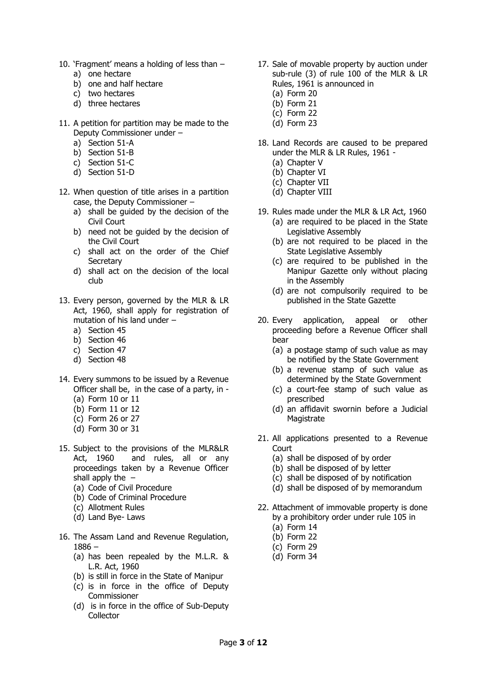- 10. 'Fragment' means a holding of less than
	- a) one hectare
	- b) one and half hectare
	- c) two hectares
	- d) three hectares
- 11. A petition for partition may be made to the Deputy Commissioner under –
	- a) Section 51-A
	- b) Section 51-B
	- c) Section 51-C
	- d) Section 51-D
- 12. When question of title arises in a partition case, the Deputy Commissioner –
	- a) shall be guided by the decision of the Civil Court
	- b) need not be guided by the decision of the Civil Court
	- c) shall act on the order of the Chief **Secretary**
	- d) shall act on the decision of the local club
- 13. Every person, governed by the MLR & LR Act, 1960, shall apply for registration of mutation of his land under –
	- a) Section 45
	- b) Section 46
	- c) Section 47
	- d) Section 48
- 14. Every summons to be issued by a Revenue Officer shall be, in the case of a party, in -
	- (a) Form 10 or 11
	- (b) Form 11 or 12
	- (c) Form 26 or 27
	- (d) Form 30 or 31
- 15. Subject to the provisions of the MLR&LR Act, 1960 and rules, all or any proceedings taken by a Revenue Officer shall apply the  $-$ 
	- (a) Code of Civil Procedure
	- (b) Code of Criminal Procedure
	- (c) Allotment Rules
	- (d) Land Bye- Laws
- 16. The Assam Land and Revenue Regulation, 1886 –
	- (a) has been repealed by the M.L.R. & L.R. Act, 1960
	- (b) is still in force in the State of Manipur
	- (c) is in force in the office of Deputy Commissioner
	- (d) is in force in the office of Sub-Deputy **Collector**
- 17. Sale of movable property by auction under sub-rule (3) of rule 100 of the MLR & LR Rules, 1961 is announced in
	- (a) Form 20
	- (b) Form 21
	- (c) Form 22
	- (d) Form 23
- 18. Land Records are caused to be prepared under the MLR & LR Rules, 1961 -
	- (a) Chapter V
	- (b) Chapter VI
	- (c) Chapter VII
	- (d) Chapter VIII
- 19. Rules made under the MLR & LR Act, 1960 (a) are required to be placed in the State Legislative Assembly
	- (b) are not required to be placed in the State Legislative Assembly
	- (c) are required to be published in the Manipur Gazette only without placing in the Assembly
	- (d) are not compulsorily required to be published in the State Gazette
- 20. Every application, appeal or other proceeding before a Revenue Officer shall bear
	- (a) a postage stamp of such value as may be notified by the State Government
	- (b) a revenue stamp of such value as determined by the State Government
	- (c) a court-fee stamp of such value as prescribed
	- (d) an affidavit swornin before a Judicial Magistrate
- 21. All applications presented to a Revenue **Court** 
	- (a) shall be disposed of by order
	- (b) shall be disposed of by letter
	- (c) shall be disposed of by notification
	- (d) shall be disposed of by memorandum
- 22. Attachment of immovable property is done by a prohibitory order under rule 105 in
	- (a) Form 14
	- (b) Form 22
	- (c) Form 29
	- (d) Form 34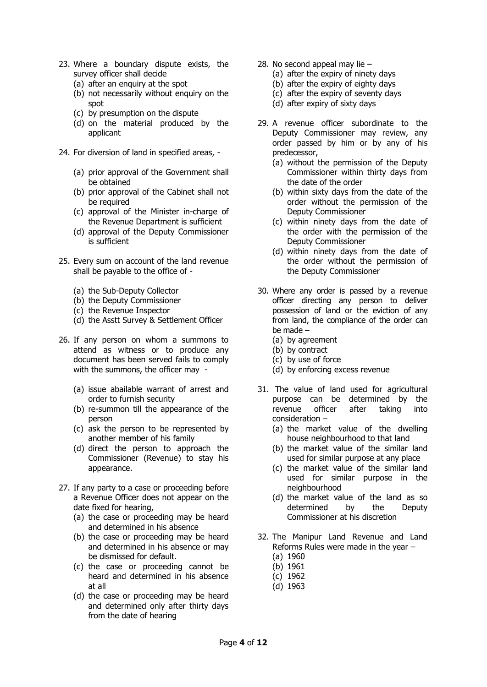- 23. Where a boundary dispute exists, the survey officer shall decide
	- (a) after an enquiry at the spot
	- (b) not necessarily without enquiry on the spot
	- (c) by presumption on the dispute
	- (d) on the material produced by the applicant
- 24. For diversion of land in specified areas,
	- (a) prior approval of the Government shall be obtained
	- (b) prior approval of the Cabinet shall not be required
	- (c) approval of the Minister in-charge of the Revenue Department is sufficient
	- (d) approval of the Deputy Commissioner is sufficient
- 25. Every sum on account of the land revenue shall be payable to the office of -
	- (a) the Sub-Deputy Collector
	- (b) the Deputy Commissioner
	- (c) the Revenue Inspector
	- (d) the Asstt Survey & Settlement Officer
- 26. If any person on whom a summons to attend as witness or to produce any document has been served fails to comply with the summons, the officer may -
	- (a) issue abailable warrant of arrest and order to furnish security
	- (b) re-summon till the appearance of the person
	- (c) ask the person to be represented by another member of his family
	- (d) direct the person to approach the Commissioner (Revenue) to stay his appearance.
- 27. If any party to a case or proceeding before a Revenue Officer does not appear on the date fixed for hearing,
	- (a) the case or proceeding may be heard and determined in his absence
	- (b) the case or proceeding may be heard and determined in his absence or may be dismissed for default.
	- (c) the case or proceeding cannot be heard and determined in his absence at all
	- (d) the case or proceeding may be heard and determined only after thirty days from the date of hearing
- 28. No second appeal may lie
	- (a) after the expiry of ninety days
	- (b) after the expiry of eighty days
	- (c) after the expiry of seventy days
	- (d) after expiry of sixty days
- 29. A revenue officer subordinate to the Deputy Commissioner may review, any order passed by him or by any of his predecessor,
	- (a) without the permission of the Deputy Commissioner within thirty days from the date of the order
	- (b) within sixty days from the date of the order without the permission of the Deputy Commissioner
	- (c) within ninety days from the date of the order with the permission of the Deputy Commissioner
	- (d) within ninety days from the date of the order without the permission of the Deputy Commissioner
- 30. Where any order is passed by a revenue officer directing any person to deliver possession of land or the eviction of any from land, the compliance of the order can be made –
	- (a) by agreement
	- (b) by contract
	- (c) by use of force
	- (d) by enforcing excess revenue
- 31. The value of land used for agricultural purpose can be determined by the revenue officer after taking into consideration –
	- (a) the market value of the dwelling house neighbourhood to that land
	- (b) the market value of the similar land used for similar purpose at any place
	- (c) the market value of the similar land used for similar purpose in the neighbourhood
	- (d) the market value of the land as so determined by the Deputy Commissioner at his discretion
- 32. The Manipur Land Revenue and Land Reforms Rules were made in the year –
	- (a) 1960
	- (b) 1961
	- (c) 1962
	- (d) 1963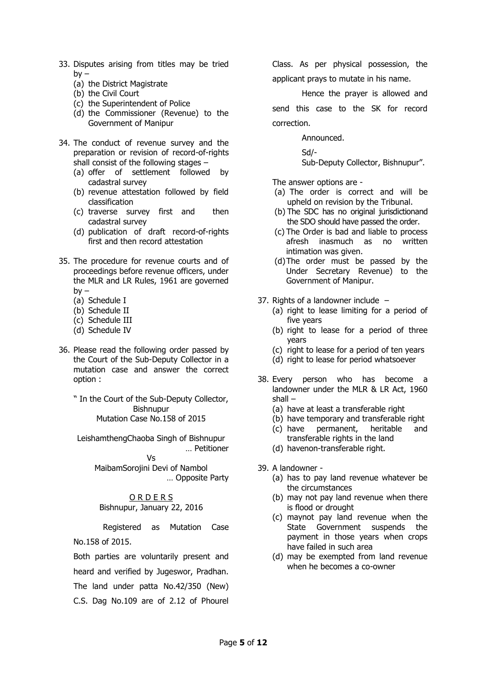- 33. Disputes arising from titles may be tried by –
	- (a) the District Magistrate
	- (b) the Civil Court
	- (c) the Superintendent of Police
	- (d) the Commissioner (Revenue) to the Government of Manipur
- 34. The conduct of revenue survey and the preparation or revision of record-of-rights shall consist of the following stages –
	- (a) offer of settlement followed by cadastral survey
	- (b) revenue attestation followed by field classification
	- (c) traverse survey first and then cadastral survey
	- (d) publication of draft record-of-rights first and then record attestation
- 35. The procedure for revenue courts and of proceedings before revenue officers, under the MLR and LR Rules, 1961 are governed  $by -$ 
	- (a) Schedule I
	- (b) Schedule II
	- (c) Schedule III
	- (d) Schedule IV
- 36. Please read the following order passed by the Court of the Sub-Deputy Collector in a mutation case and answer the correct option :
	- " In the Court of the Sub-Deputy Collector, Bishnupur Mutation Case No.158 of 2015

LeishamthengChaoba Singh of Bishnupur … Petitioner

> Vs MaibamSorojini Devi of Nambol … Opposite Party

O R D E R S Bishnupur, January 22, 2016

Registered as Mutation Case No.158 of 2015.

Both parties are voluntarily present and heard and verified by Jugeswor, Pradhan. The land under patta No.42/350 (New) C.S. Dag No.109 are of 2.12 of Phourel

Class. As per physical possession, the applicant prays to mutate in his name.

Hence the prayer is allowed and send this case to the SK for record correction.

Announced.

Sd/-

Sub-Deputy Collector, Bishnupur".

The answer options are -

- (a) The order is correct and will be upheld on revision by the Tribunal.
- (b) The SDC has no original jurisdictionand the SDO should have passed the order.
- (c) The Order is bad and liable to process afresh inasmuch as no written intimation was given.
- (d)The order must be passed by the Under Secretary Revenue) to the Government of Manipur.
- 37. Rights of a landowner include  $-$ 
	- (a) right to lease limiting for a period of five years
	- (b) right to lease for a period of three years
	- (c) right to lease for a period of ten years
	- (d) right to lease for period whatsoever
- 38. Every person who has become a landowner under the MLR & LR Act, 1960 shall –
	- (a) have at least a transferable right
	- (b) have temporary and transferable right
	- (c) have permanent, heritable and transferable rights in the land
	- (d) havenon-transferable right.
- 39. A landowner
	- (a) has to pay land revenue whatever be the circumstances
	- (b) may not pay land revenue when there is flood or drought
	- (c) maynot pay land revenue when the State Government suspends the payment in those years when crops have failed in such area
	- (d) may be exempted from land revenue when he becomes a co-owner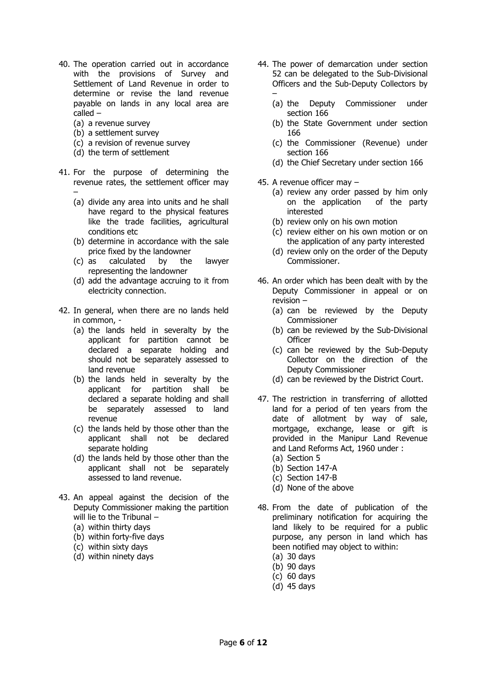- 40. The operation carried out in accordance with the provisions of Survey and Settlement of Land Revenue in order to determine or revise the land revenue payable on lands in any local area are called –
	- (a) a revenue survey
	- (b) a settlement survey
	- (c) a revision of revenue survey
	- (d) the term of settlement
- 41. For the purpose of determining the revenue rates, the settlement officer may –
	- (a) divide any area into units and he shall have regard to the physical features like the trade facilities, agricultural conditions etc
	- (b) determine in accordance with the sale price fixed by the landowner
	- (c) as calculated by the lawyer representing the landowner
	- (d) add the advantage accruing to it from electricity connection.
- 42. In general, when there are no lands held in common, -
	- (a) the lands held in severalty by the applicant for partition cannot be declared a separate holding and should not be separately assessed to land revenue
	- (b) the lands held in severalty by the applicant for partition shall be declared a separate holding and shall be separately assessed to land revenue
	- (c) the lands held by those other than the applicant shall not be declared separate holding
	- (d) the lands held by those other than the applicant shall not be separately assessed to land revenue.
- 43. An appeal against the decision of the Deputy Commissioner making the partition will lie to the Tribunal – (a) within thirty days
	- (b) within forty-five days
	-
	- (c) within sixty days
	- (d) within ninety days
- 44. The power of demarcation under section 52 can be delegated to the Sub-Divisional Officers and the Sub-Deputy Collectors by –
	- (a) the Deputy Commissioner under section 166
	- (b) the State Government under section 166
	- (c) the Commissioner (Revenue) under section 166
	- (d) the Chief Secretary under section 166
- 45. A revenue officer may
	- (a) review any order passed by him only on the application of the party interested
	- (b) review only on his own motion
	- (c) review either on his own motion or on the application of any party interested
	- (d) review only on the order of the Deputy Commissioner.
- 46. An order which has been dealt with by the Deputy Commissioner in appeal or on revision –
	- (a) can be reviewed by the Deputy Commissioner
	- (b) can be reviewed by the Sub-Divisional **Officer**
	- (c) can be reviewed by the Sub-Deputy Collector on the direction of the Deputy Commissioner
	- (d) can be reviewed by the District Court.
- 47. The restriction in transferring of allotted land for a period of ten years from the date of allotment by way of sale, mortgage, exchange, lease or gift is provided in the Manipur Land Revenue and Land Reforms Act, 1960 under :
	- (a) Section 5
	- (b) Section 147-A
	- (c) Section 147-B
	- (d) None of the above
- 48. From the date of publication of the preliminary notification for acquiring the land likely to be required for a public purpose, any person in land which has been notified may object to within:
	- (a) 30 days
	- (b) 90 days
	- (c) 60 days
	- (d) 45 days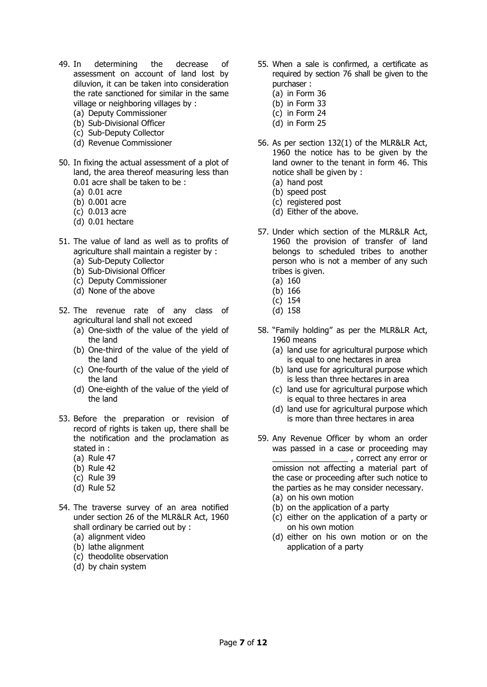- 49. In determining the decrease of assessment on account of land lost by diluvion, it can be taken into consideration the rate sanctioned for similar in the same village or neighboring villages by :
	- (a) Deputy Commissioner
	- (b) Sub-Divisional Officer
	- (c) Sub-Deputy Collector
	- (d) Revenue Commissioner
- 50. In fixing the actual assessment of a plot of land, the area thereof measuring less than 0.01 acre shall be taken to be :
	- (a) 0.01 acre
	- (b) 0.001 acre
	- (c) 0.013 acre
	- (d) 0.01 hectare
- 51. The value of land as well as to profits of agriculture shall maintain a register by :
	- (a) Sub-Deputy Collector
	- (b) Sub-Divisional Officer
	- (c) Deputy Commissioner
	- (d) None of the above
- 52. The revenue rate of any class of agricultural land shall not exceed
	- (a) One-sixth of the value of the yield of the land
	- (b) One-third of the value of the yield of the land
	- (c) One-fourth of the value of the yield of the land
	- (d) One-eighth of the value of the yield of the land
- 53. Before the preparation or revision of record of rights is taken up, there shall be the notification and the proclamation as stated in :
	- (a) Rule 47
	- (b) Rule 42
	- (c) Rule 39
	- (d) Rule 52
- 54. The traverse survey of an area notified under section 26 of the MLR&LR Act, 1960 shall ordinary be carried out by :
	- (a) alignment video
	- (b) lathe alignment
	- (c) theodolite observation
	- (d) by chain system
- 55. When a sale is confirmed, a certificate as required by section 76 shall be given to the purchaser :
	- (a) in Form 36
	- (b) in Form 33
	- (c) in Form 24
	- (d) in Form 25
- 56. As per section 132(1) of the MLR&LR Act, 1960 the notice has to be given by the land owner to the tenant in form 46. This notice shall be given by :
	- (a) hand post
	- (b) speed post
	- (c) registered post
	- (d) Either of the above.
- 57. Under which section of the MLR&LR Act, 1960 the provision of transfer of land belongs to scheduled tribes to another person who is not a member of any such tribes is given.
	- (a) 160
	- (b) 166
	- (c) 154
	- (d) 158
- 58. "Family holding" as per the MLR&LR Act, 1960 means
	- (a) land use for agricultural purpose which is equal to one hectares in area
	- (b) land use for agricultural purpose which is less than three hectares in area
	- (c) land use for agricultural purpose which is equal to three hectares in area
	- (d) land use for agricultural purpose which is more than three hectares in area
- 59. Any Revenue Officer by whom an order was passed in a case or proceeding may  $\_$ , correct any error or omission not affecting a material part of the case or proceeding after such notice to the parties as he may consider necessary.
	- (a) on his own motion
	- (b) on the application of a party
	- (c) either on the application of a party or on his own motion
	- (d) either on his own motion or on the application of a party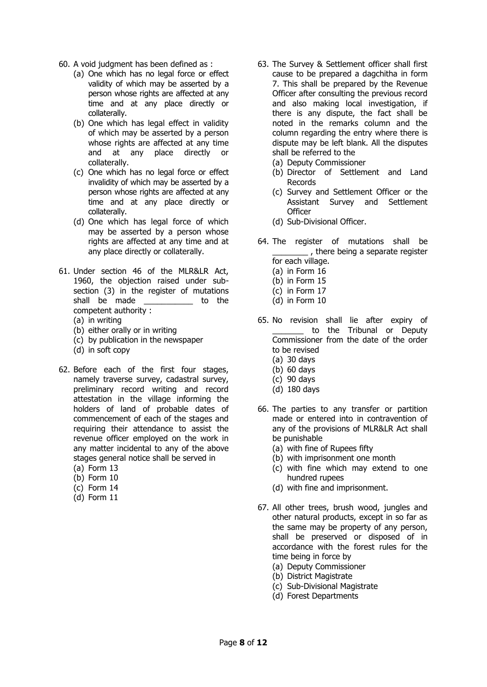- 60. A void judgment has been defined as :
	- (a) One which has no legal force or effect validity of which may be asserted by a person whose rights are affected at any time and at any place directly or collaterally.
	- (b) One which has legal effect in validity of which may be asserted by a person whose rights are affected at any time and at any place directly or collaterally.
	- (c) One which has no legal force or effect invalidity of which may be asserted by a person whose rights are affected at any time and at any place directly or collaterally.
	- (d) One which has legal force of which may be asserted by a person whose rights are affected at any time and at any place directly or collaterally.
- 61. Under section 46 of the MLR&LR Act, 1960, the objection raised under subsection (3) in the register of mutations shall be made **to** the competent authority :
	- (a) in writing
	- (b) either orally or in writing
	- (c) by publication in the newspaper
	- (d) in soft copy
- 62. Before each of the first four stages, namely traverse survey, cadastral survey, preliminary record writing and record attestation in the village informing the holders of land of probable dates of commencement of each of the stages and requiring their attendance to assist the revenue officer employed on the work in any matter incidental to any of the above stages general notice shall be served in
	- (a) Form 13 (b) Form 10
	- (c) Form 14
	- (d) Form 11
- 63. The Survey & Settlement officer shall first cause to be prepared a dagchitha in form 7. This shall be prepared by the Revenue Officer after consulting the previous record and also making local investigation, if there is any dispute, the fact shall be noted in the remarks column and the column regarding the entry where there is dispute may be left blank. All the disputes shall be referred to the
	- (a) Deputy Commissioner
	- (b) Director of Settlement and Land Records
	- (c) Survey and Settlement Officer or the Assistant Survey and Settlement **Officer**
	- (d) Sub-Divisional Officer.
- 64. The register of mutations shall be <sub>\_\_\_\_</sub>, there being a separate register for each village.
	- (a) in Form 16
	- (b) in Form 15
	- (c) in Form 17
	- (d) in Form 10
- 65. No revision shall lie after expiry of to the Tribunal or Deputy Commissioner from the date of the order to be revised
	- (a) 30 days
	- (b) 60 days
	- (c) 90 days
	- (d) 180 days
- 66. The parties to any transfer or partition made or entered into in contravention of any of the provisions of MLR&LR Act shall be punishable
	- (a) with fine of Rupees fifty
	- (b) with imprisonment one month
	- (c) with fine which may extend to one hundred rupees
	- (d) with fine and imprisonment.
- 67. All other trees, brush wood, jungles and other natural products, except in so far as the same may be property of any person, shall be preserved or disposed of in accordance with the forest rules for the time being in force by
	- (a) Deputy Commissioner
	- (b) District Magistrate
	- (c) Sub-Divisional Magistrate
	- (d) Forest Departments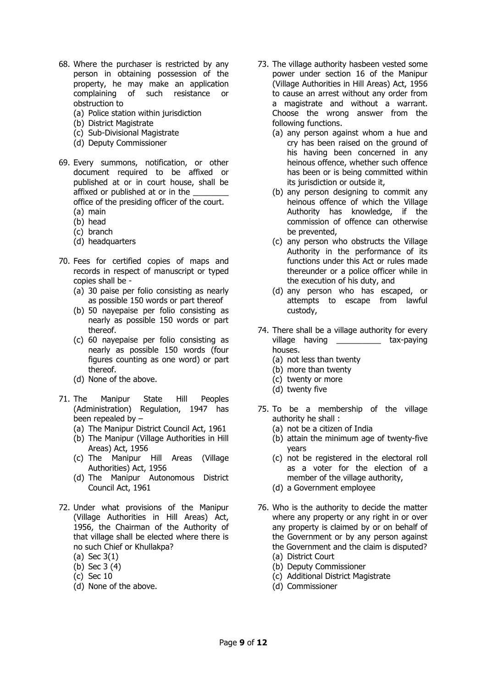- 68. Where the purchaser is restricted by any person in obtaining possession of the property, he may make an application complaining of such resistance or obstruction to
	- (a) Police station within jurisdiction
	- (b) District Magistrate
	- (c) Sub-Divisional Magistrate
	- (d) Deputy Commissioner
- 69. Every summons, notification, or other document required to be affixed or published at or in court house, shall be affixed or published at or in the office of the presiding officer of the court.
	- (a) main
	- (b) head
	- (c) branch (d) headquarters
- 70. Fees for certified copies of maps and records in respect of manuscript or typed copies shall be -
	- (a) 30 paise per folio consisting as nearly as possible 150 words or part thereof
	- (b) 50 nayepaise per folio consisting as nearly as possible 150 words or part thereof.
	- (c) 60 nayepaise per folio consisting as nearly as possible 150 words (four figures counting as one word) or part thereof.
	- (d) None of the above.
- 71. The Manipur State Hill Peoples (Administration) Regulation, 1947 has been repealed by –
	- (a) The Manipur District Council Act, 1961
	- (b) The Manipur (Village Authorities in Hill Areas) Act, 1956
	- (c) The Manipur Hill Areas (Village Authorities) Act, 1956
	- (d) The Manipur Autonomous District Council Act, 1961
- 72. Under what provisions of the Manipur (Village Authorities in Hill Areas) Act, 1956, the Chairman of the Authority of that village shall be elected where there is no such Chief or Khullakpa?
	- (a) Sec 3(1)
	- (b) Sec 3 (4)
	- (c) Sec 10
	- (d) None of the above.
- 73. The village authority hasbeen vested some power under section 16 of the Manipur (Village Authorities in Hill Areas) Act, 1956 to cause an arrest without any order from a magistrate and without a warrant. Choose the wrong answer from the following functions.
	- (a) any person against whom a hue and cry has been raised on the ground of his having been concerned in any heinous offence, whether such offence has been or is being committed within its jurisdiction or outside it,
	- (b) any person designing to commit any heinous offence of which the Village Authority has knowledge, if the commission of offence can otherwise be prevented,
	- (c) any person who obstructs the Village Authority in the performance of its functions under this Act or rules made thereunder or a police officer while in the execution of his duty, and
	- (d) any person who has escaped, or attempts to escape from lawful custody,
- 74. There shall be a village authority for every village having \_\_\_\_\_\_\_\_\_\_\_ tax-paying houses.
	- (a) not less than twenty
	- (b) more than twenty
	- (c) twenty or more
	- (d) twenty five
- 75. To be a membership of the village authority he shall :
	- (a) not be a citizen of India
	- (b) attain the minimum age of twenty-five years
	- (c) not be registered in the electoral roll as a voter for the election of a member of the village authority,
	- (d) a Government employee
- 76. Who is the authority to decide the matter where any property or any right in or over any property is claimed by or on behalf of the Government or by any person against the Government and the claim is disputed? (a) District Court
	- (b) Deputy Commissioner
	- (c) Additional District Magistrate
	- (d) Commissioner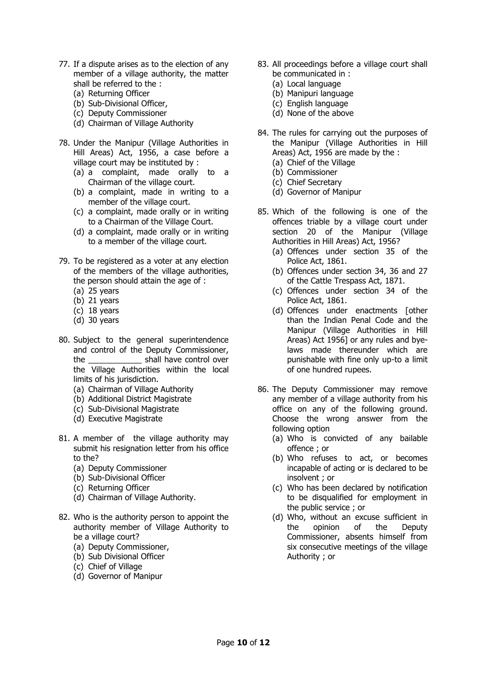- 77. If a dispute arises as to the election of any member of a village authority, the matter shall be referred to the :
	- (a) Returning Officer
	- (b) Sub-Divisional Officer,
	- (c) Deputy Commissioner
	- (d) Chairman of Village Authority
- 78. Under the Manipur (Village Authorities in Hill Areas) Act, 1956, a case before a village court may be instituted by :
	- (a) a complaint, made orally to a Chairman of the village court.
	- (b) a complaint, made in writing to a member of the village court.
	- (c) a complaint, made orally or in writing to a Chairman of the Village Court.
	- (d) a complaint, made orally or in writing to a member of the village court.
- 79. To be registered as a voter at any election of the members of the village authorities, the person should attain the age of :
	- (a) 25 years
	- (b) 21 years
	- (c) 18 years
	- (d) 30 years
- 80. Subject to the general superintendence and control of the Deputy Commissioner, the \_\_\_\_\_\_\_\_\_\_\_\_ shall have control over the Village Authorities within the local limits of his jurisdiction.
	- (a) Chairman of Village Authority
	- (b) Additional District Magistrate
	- (c) Sub-Divisional Magistrate
	- (d) Executive Magistrate
- 81. A member of the village authority may submit his resignation letter from his office to the?
	- (a) Deputy Commissioner
	- (b) Sub-Divisional Officer
	- (c) Returning Officer
	- (d) Chairman of Village Authority.
- 82. Who is the authority person to appoint the authority member of Village Authority to be a village court?
	- (a) Deputy Commissioner,
	- (b) Sub Divisional Officer
	- (c) Chief of Village
	- (d) Governor of Manipur
- 83. All proceedings before a village court shall be communicated in :
	- (a) Local language
	- (b) Manipuri language
	- (c) English language
	- (d) None of the above
- 84. The rules for carrying out the purposes of the Manipur (Village Authorities in Hill Areas) Act, 1956 are made by the :
	- (a) Chief of the Village
	- (b) Commissioner
	- (c) Chief Secretary
	- (d) Governor of Manipur
- 85. Which of the following is one of the offences triable by a village court under section 20 of the Manipur (Village Authorities in Hill Areas) Act, 1956?
	- (a) Offences under section 35 of the Police Act, 1861.
	- (b) Offences under section 34, 36 and 27 of the Cattle Trespass Act, 1871.
	- (c) Offences under section 34 of the Police Act, 1861.
	- (d) Offences under enactments [other than the Indian Penal Code and the Manipur (Village Authorities in Hill Areas) Act 1956] or any rules and byelaws made thereunder which are punishable with fine only up-to a limit of one hundred rupees.
- 86. The Deputy Commissioner may remove any member of a village authority from his office on any of the following ground. Choose the wrong answer from the following option
	- (a) Who is convicted of any bailable offence ; or
	- (b) Who refuses to act, or becomes incapable of acting or is declared to be insolvent ; or
	- (c) Who has been declared by notification to be disqualified for employment in the public service ; or
	- (d) Who, without an excuse sufficient in the opinion of the Deputy Commissioner, absents himself from six consecutive meetings of the village Authority ; or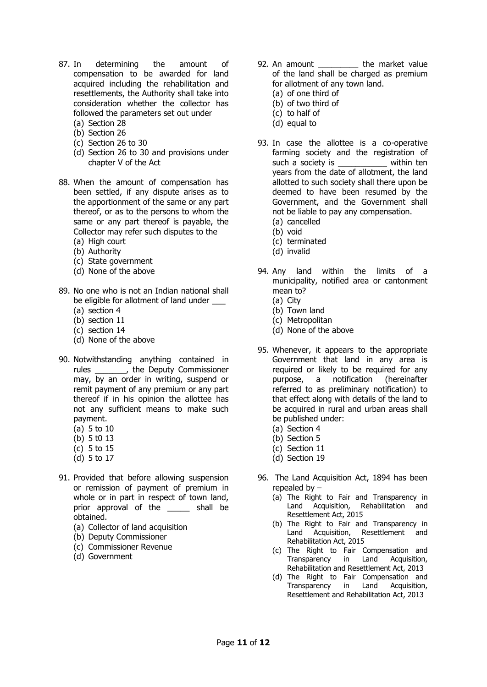- 87. In determining the amount of compensation to be awarded for land acquired including the rehabilitation and resettlements, the Authority shall take into consideration whether the collector has followed the parameters set out under
	- (a) Section 28
	- (b) Section 26
	- (c) Section 26 to 30
	- (d) Section 26 to 30 and provisions under chapter V of the Act
- 88. When the amount of compensation has been settled, if any dispute arises as to the apportionment of the same or any part thereof, or as to the persons to whom the same or any part thereof is payable, the Collector may refer such disputes to the
	- (a) High court
	- (b) Authority
	- (c) State government (d) None of the above
- 89. No one who is not an Indian national shall be eligible for allotment of land under
	- (a) section 4
	- (b) section 11
	- (c) section 14
	- (d) None of the above
- 90. Notwithstanding anything contained in rules \_\_\_\_\_\_\_, the Deputy Commissioner may, by an order in writing, suspend or remit payment of any premium or any part thereof if in his opinion the allottee has not any sufficient means to make such payment.
	- (a) 5 to 10
	- (b) 5 t0 13
	- (c) 5 to 15
	- (d) 5 to 17
- 91. Provided that before allowing suspension or remission of payment of premium in whole or in part in respect of town land, prior approval of the \_\_\_\_\_\_ shall be obtained.
	- (a) Collector of land acquisition
	- (b) Deputy Commissioner
	- (c) Commissioner Revenue
	- (d) Government
- 92. An amount \_\_\_\_\_\_\_\_\_\_\_ the market value of the land shall be charged as premium for allotment of any town land.
	- (a) of one third of
	- (b) of two third of
	- (c) to half of
	- (d) equal to
- 93. In case the allottee is a co-operative farming society and the registration of such a society is example within ten years from the date of allotment, the land allotted to such society shall there upon be deemed to have been resumed by the Government, and the Government shall not be liable to pay any compensation.
	- (a) cancelled
	- (b) void
	- (c) terminated
	- (d) invalid
- 94. Any land within the limits of a municipality, notified area or cantonment mean to?
	- (a) City
	- (b) Town land
	- (c) Metropolitan
	- (d) None of the above
- 95. Whenever, it appears to the appropriate Government that land in any area is required or likely to be required for any purpose, a notification (hereinafter referred to as preliminary notification) to that effect along with details of the land to be acquired in rural and urban areas shall be published under:
	- (a) Section 4
	- (b) Section 5
	- (c) Section 11
	- (d) Section 19
- 96. The Land Acquisition Act, 1894 has been repealed by –
	- (a) The Right to Fair and Transparency in Land Acquisition, Rehabilitation and Resettlement Act, 2015
	- (b) The Right to Fair and Transparency in Land Acquisition, Resettlement and Rehabilitation Act, 2015
	- (c) The Right to Fair Compensation and Transparency in Land Acquisition, Rehabilitation and Resettlement Act, 2013
	- (d) The Right to Fair Compensation and Transparency in Land Acquisition, Resettlement and Rehabilitation Act, 2013